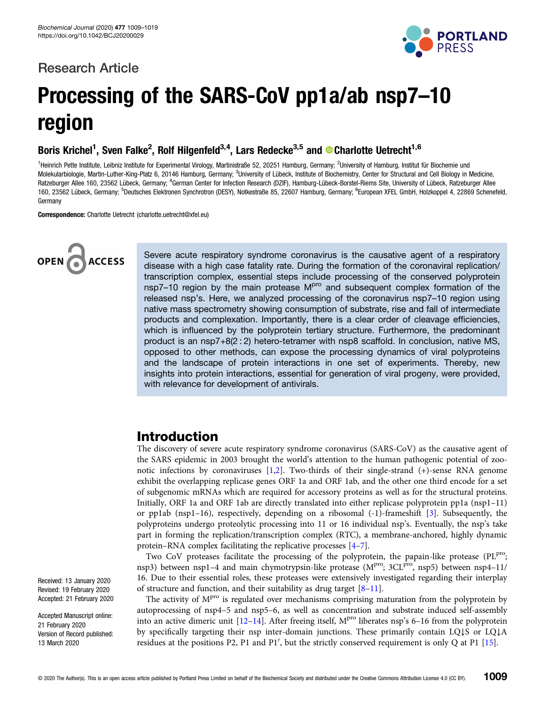# Research Article



# Processing of the SARS-CoV pp1a/ab nsp7–10 region

Boris Krichel<sup>1</sup>, Sven Falke<sup>2</sup>, Rolf Hilgenfeld<sup>3,4</sup>, Lars Redecke<sup>3,5</sup> and © Charlotte Uetrecht<sup>1,6</sup>

<sup>1</sup>Heinrich Pette Institute, Leibniz Institute for Experimental Virology, Martinistraße 52, 20251 Hamburg, Germany; <sup>2</sup>University of Hamburg, Institut für Biochemie und Molekularbiologie, Martin-Luther-King-Platz 6, 20146 Hamburg, Germany; <sup>3</sup>University of Lübeck, Institute of Biochemistry, Center for Structural and Cell Biology in Medicine, Ratzeburger Allee 160, 23562 Lübeck, Germany; <sup>4</sup>German Center for Infection Research (DZIF), Hamburg-Lübeck-Borstel-Riems Site, University of Lübeck, Ratzeburger Allee 160, 23562 Lübeck, Germany; <sup>5</sup>Deutsches Elektronen Synchrotron (DESY), Notkestraße 85, 22607 Hamburg, Germany; <sup>6</sup>European XFEL GmbH, Holzkoppel 4, 22869 Schenefeld, Germany

Correspondence: Charlotte Uetrecht (charlotte.uetrecht@xfel.eu)



Severe acute respiratory syndrome coronavirus is the causative agent of a respiratory disease with a high case fatality rate. During the formation of the coronaviral replication/ transcription complex, essential steps include processing of the conserved polyprotein nsp7–10 region by the main protease  $M<sup>pro</sup>$  and subsequent complex formation of the released nsp's. Here, we analyzed processing of the coronavirus nsp7–10 region using native mass spectrometry showing consumption of substrate, rise and fall of intermediate products and complexation. Importantly, there is a clear order of cleavage efficiencies, which is influenced by the polyprotein tertiary structure. Furthermore, the predominant product is an nsp7+8(2 : 2) hetero-tetramer with nsp8 scaffold. In conclusion, native MS, opposed to other methods, can expose the processing dynamics of viral polyproteins and the landscape of protein interactions in one set of experiments. Thereby, new insights into protein interactions, essential for generation of viral progeny, were provided, with relevance for development of antivirals.

# Introduction

The discovery of severe acute respiratory syndrome coronavirus (SARS-CoV) as the causative agent of the SARS epidemic in 2003 brought the world's attention to the human pathogenic potential of zoonotic infections by coronaviruses [[1,2\]](#page-9-0). Two-thirds of their single-strand (+)-sense RNA genome exhibit the overlapping replicase genes ORF 1a and ORF 1ab, and the other one third encode for a set of subgenomic mRNAs which are required for accessory proteins as well as for the structural proteins. Initially, ORF 1a and ORF 1ab are directly translated into either replicase polyprotein pp1a (nsp1–11) or pp1ab (nsp1–16), respectively, depending on a ribosomal (-1)-frameshift [[3\]](#page-9-0). Subsequently, the polyproteins undergo proteolytic processing into 11 or 16 individual nsp's. Eventually, the nsp's take part in forming the replication/transcription complex (RTC), a membrane-anchored, highly dynamic protein–RNA complex facilitating the replicative processes [[4](#page-9-0)–[7\]](#page-9-0).

Two CoV proteases facilitate the processing of the polyprotein, the papain-like protease (PLPro; nsp3) between nsp1–4 and main chymotrypsin-like protease ( $M<sup>pro</sup>$ ; 3CL<sup>pro</sup>, nsp5) between nsp4–11/ 16. Due to their essential roles, these proteases were extensively investigated regarding their interplay of structure and function, and their suitability as drug target [[8](#page-9-0)–[11](#page-9-0)].

The activity of  $M<sup>pro</sup>$  is regulated over mechanisms comprising maturation from the polyprotein by autoprocessing of nsp4–5 and nsp5–6, as well as concentration and substrate induced self-assembly into an active dimeric unit  $[12-14]$  $[12-14]$  $[12-14]$  $[12-14]$ . After freeing itself,  $M<sup>pro</sup>$  liberates nsp's 6-16 from the polyprotein by specifically targeting their nsp inter-domain junctions. These primarily contain LQ↓S or LQ↓A residues at the positions P2, P1 and P1', but the strictly conserved requirement is only  $Q$  at P1 [[15](#page-9-0)].

Received: 13 January 2020 Revised: 19 February 2020 Accepted: 21 February 2020

Accepted Manuscript online: 21 February 2020 Version of Record published: 13 March 2020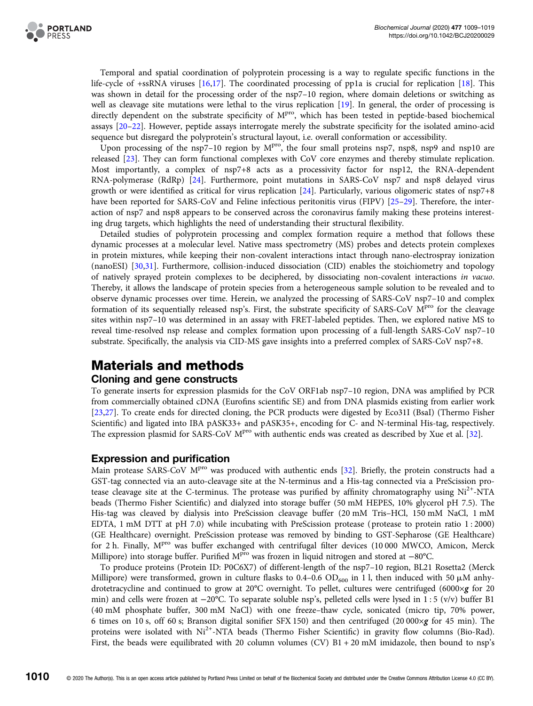

Temporal and spatial coordination of polyprotein processing is a way to regulate specific functions in the life-cycle of +ssRNA viruses [\[16,17\]](#page-9-0). The coordinated processing of pp1a is crucial for replication [[18](#page-10-0)]. This was shown in detail for the processing order of the nsp7-10 region, where domain deletions or switching as well as cleavage site mutations were lethal to the virus replication [[19](#page-10-0)]. In general, the order of processing is directly dependent on the substrate specificity of  $M<sup>pro</sup>$ , which has been tested in peptide-based biochemical assays [[20](#page-10-0)–[22](#page-10-0)]. However, peptide assays interrogate merely the substrate specificity for the isolated amino-acid sequence but disregard the polyprotein's structural layout, i.e. overall conformation or accessibility.

Upon processing of the nsp7–10 region by  $M<sup>pro</sup>$ , the four small proteins nsp7, nsp8, nsp9 and nsp10 are released [[23](#page-10-0)]. They can form functional complexes with CoV core enzymes and thereby stimulate replication. Most importantly, a complex of nsp7+8 acts as a processivity factor for nsp12, the RNA-dependent RNA-polymerase (RdRp) [[24\]](#page-10-0). Furthermore, point mutations in SARS-CoV nsp7 and nsp8 delayed virus growth or were identified as critical for virus replication [\[24\]](#page-10-0). Particularly, various oligomeric states of nsp7+8 have been reported for SARS-CoV and Feline infectious peritonitis virus (FIPV) [\[25](#page-10-0)–[29\]](#page-10-0). Therefore, the interaction of nsp7 and nsp8 appears to be conserved across the coronavirus family making these proteins interesting drug targets, which highlights the need of understanding their structural flexibility.

Detailed studies of polyprotein processing and complex formation require a method that follows these dynamic processes at a molecular level. Native mass spectrometry (MS) probes and detects protein complexes in protein mixtures, while keeping their non-covalent interactions intact through nano-electrospray ionization (nanoESI) [\[30,31\]](#page-10-0). Furthermore, collision-induced dissociation (CID) enables the stoichiometry and topology of natively sprayed protein complexes to be deciphered, by dissociating non-covalent interactions in vacuo. Thereby, it allows the landscape of protein species from a heterogeneous sample solution to be revealed and to observe dynamic processes over time. Herein, we analyzed the processing of SARS-CoV nsp7–10 and complex formation of its sequentially released nsp's. First, the substrate specificity of SARS-CoV MPro for the cleavage sites within nsp7–10 was determined in an assay with FRET-labeled peptides. Then, we explored native MS to reveal time-resolved nsp release and complex formation upon processing of a full-length SARS-CoV nsp7–10 substrate. Specifically, the analysis via CID-MS gave insights into a preferred complex of SARS-CoV nsp7+8.

# Materials and methods

#### Cloning and gene constructs

To generate inserts for expression plasmids for the CoV ORF1ab nsp7–10 region, DNA was amplified by PCR from commercially obtained cDNA (Eurofins scientific SE) and from DNA plasmids existing from earlier work [[23,27\]](#page-10-0). To create ends for directed cloning, the PCR products were digested by Eco31I (BsaI) (Thermo Fisher Scientific) and ligated into IBA pASK33+ and pASK35+, encoding for C- and N-terminal His-tag, respectively. The expression plasmid for SARS-CoV  $M<sup>pro</sup>$  with authentic ends was created as described by Xue et al. [\[32](#page-10-0)].

#### Expression and purification

Main protease SARS-CoV M<sup>pro</sup> was produced with authentic ends [\[32\]](#page-10-0). Briefly, the protein constructs had a GST-tag connected via an auto-cleavage site at the N-terminus and a His-tag connected via a PreScission protease cleavage site at the C-terminus. The protease was purified by affinity chromatography using  $Ni<sup>2+</sup>-NTA$ beads (Thermo Fisher Scientific) and dialyzed into storage buffer (50 mM HEPES, 10% glycerol pH 7.5). The His-tag was cleaved by dialysis into PreScission cleavage buffer (20 mM Tris–HCl, 150 mM NaCl, 1 mM EDTA, 1 mM DTT at pH 7.0) while incubating with PreScission protease ( protease to protein ratio 1 : 2000) (GE Healthcare) overnight. PreScission protease was removed by binding to GST-Sepharose (GE Healthcare) for 2 h. Finally,  $M<sup>pro</sup>$  was buffer exchanged with centrifugal filter devices (10 000 MWCO, Amicon, Merck Millipore) into storage buffer. Purified M<sup>pro</sup> was frozen in liquid nitrogen and stored at −80°C.

To produce proteins (Protein ID: P0C6X7) of different-length of the nsp7–10 region, BL21 Rosetta2 (Merck Millipore) were transformed, grown in culture flasks to 0.4–0.6 OD<sub>600</sub> in 1 l, then induced with 50  $\mu$ M anhydrotetracycline and continued to grow at 20°C overnight. To pellet, cultures were centrifuged (6000×g for 20 min) and cells were frozen at −20°C. To separate soluble nsp's, pelleted cells were lysed in 1 : 5 (v/v) buffer B1 (40 mM phosphate buffer, 300 mM NaCl) with one freeze–thaw cycle, sonicated (micro tip, 70% power, 6 times on 10 s, off 60 s; Branson digital sonifier SFX 150) and then centrifuged (20 000×g for 45 min). The proteins were isolated with Ni<sup>2+</sup>-NTA beads (Thermo Fisher Scientific) in gravity flow columns (Bio-Rad). First, the beads were equilibrated with 20 column volumes (CV) B1 + 20 mM imidazole, then bound to nsp's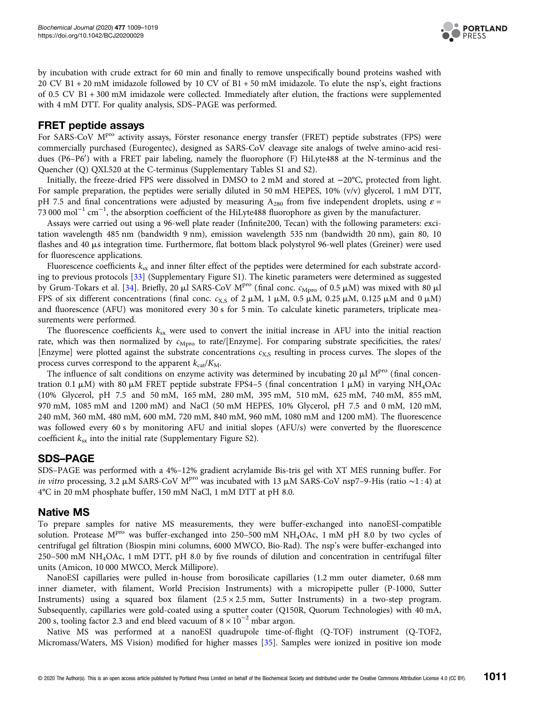

by incubation with crude extract for 60 min and finally to remove unspecifically bound proteins washed with 20 CV B1 + 20 mM imidazole followed by 10 CV of B1 + 50 mM imidazole. To elute the nsp's, eight fractions of 0.5 CV B1 + 300 mM imidazole were collected. Immediately after elution, the fractions were supplemented with 4 mM DTT. For quality analysis, SDS–PAGE was performed.

#### FRET peptide assays

For SARS-CoV M<sup>pro</sup> activity assays, Förster resonance energy transfer (FRET) peptide substrates (FPS) were commercially purchased (Eurogentec), designed as SARS-CoV cleavage site analogs of twelve amino-acid residues (P6-P6') with a FRET pair labeling, namely the fluorophore (F) HiLyte488 at the N-terminus and the Quencher (Q) QXL520 at the C-terminus (Supplementary Tables S1 and S2).

Initially, the freeze-dried FPS were dissolved in DMSO to 2 mM and stored at −20°C, protected from light. For sample preparation, the peptides were serially diluted in 50 mM HEPES, 10% (v/v) glycerol, 1 mM DTT, pH 7.5 and final concentrations were adjusted by measuring  $A_{280}$  from five independent droplets, using  $\varepsilon$  = 73 000 mol−<sup>1</sup> cm−<sup>1</sup> , the absorption coefficient of the HiLyte488 fluorophore as given by the manufacturer.

Assays were carried out using a 96-well plate reader (Infinite200, Tecan) with the following parameters: excitation wavelength 485 nm (bandwidth 9 nm), emission wavelength 535 nm (bandwidth 20 nm), gain 80, 10 flashes and 40 µs integration time. Furthermore, flat bottom black polystyrol 96-well plates (Greiner) were used for fluorescence applications.

Fluorescence coefficients  $k_{sx}$  and inner filter effect of the peptides were determined for each substrate according to previous protocols [\[33\]](#page-10-0) (Supplementary Figure S1). The kinetic parameters were determined as suggested by Grum-Tokars et al. [[34\]](#page-10-0). Briefly, 20  $\mu$ l SARS-CoV M<sup>pro</sup> (final conc.  $c_{\text{Mpro}}$  of 0.5  $\mu$ M) was mixed with 80  $\mu$ l FPS of six different concentrations (final conc.  $c_{X,S}$  of 2  $\mu$ M, 1  $\mu$ M, 0.5  $\mu$ M, 0.25  $\mu$ M, 0.125  $\mu$ M and 0  $\mu$ M) and fluorescence (AFU) was monitored every 30 s for 5 min. To calculate kinetic parameters, triplicate measurements were performed.

The fluorescence coefficients  $k_{sx}$  were used to convert the initial increase in AFU into the initial reaction rate, which was then normalized by  $c_{Mpc0}$  to rate/[Enzyme]. For comparing substrate specificities, the rates/ [Enzyme] were plotted against the substrate concentrations  $c_{X,S}$  resulting in process curves. The slopes of the process curves correspond to the apparent  $k_{\text{cat}}/K_{\text{M}}$ .

The influence of salt conditions on enzyme activity was determined by incubating 20  $\mu$ l M<sup>pro</sup> (final concentration 0.1  $\mu$ M) with 80  $\mu$ M FRET peptide substrate FPS4-5 (final concentration 1  $\mu$ M) in varying NH<sub>4</sub>OAc (10% Glycerol, pH 7.5 and 50 mM, 165 mM, 280 mM, 395 mM, 510 mM, 625 mM, 740 mM, 855 mM, 970 mM, 1085 mM and 1200 mM) and NaCl (50 mM HEPES, 10% Glycerol, pH 7.5 and 0 mM, 120 mM, 240 mM, 360 mM, 480 mM, 600 mM, 720 mM, 840 mM, 960 mM, 1080 mM and 1200 mM). The fluorescence was followed every 60 s by monitoring AFU and initial slopes (AFU/s) were converted by the fluorescence coefficient  $k_{sx}$  into the initial rate (Supplementary Figure S2).

#### SDS–PAGE

SDS–PAGE was performed with a 4%–12% gradient acrylamide Bis-tris gel with XT MES running buffer. For in vitro processing, 3.2 μM SARS-CoV M<sup>pro</sup> was incubated with 13 μM SARS-CoV nsp7–9-His (ratio ~1 : 4) at 4°C in 20 mM phosphate buffer, 150 mM NaCl, 1 mM DTT at pH 8.0.

#### Native MS

To prepare samples for native MS measurements, they were buffer-exchanged into nanoESI-compatible solution. Protease  $M<sup>pro</sup>$  was buffer-exchanged into 250–500 mM NH<sub>4</sub>OAc, 1 mM pH 8.0 by two cycles of centrifugal gel filtration (Biospin mini columns, 6000 MWCO, Bio-Rad). The nsp's were buffer-exchanged into 250–500 mM NH4OAc, 1 mM DTT, pH 8.0 by five rounds of dilution and concentration in centrifugal filter units (Amicon, 10 000 MWCO, Merck Millipore).

NanoESI capillaries were pulled in-house from borosilicate capillaries (1.2 mm outer diameter, 0.68 mm inner diameter, with filament, World Precision Instruments) with a micropipette puller (P-1000, Sutter Instruments) using a squared box filament  $(2.5 \times 2.5 \text{ mm})$ , Sutter Instruments) in a two-step program. Subsequently, capillaries were gold-coated using a sputter coater (Q150R, Quorum Technologies) with 40 mA, 200 s, tooling factor 2.3 and end bleed vacuum of  $8 \times 10^{-2}$  mbar argon.

Native MS was performed at a nanoESI quadrupole time-of-flight (Q-TOF) instrument (Q-TOF2, Micromass/Waters, MS Vision) modified for higher masses [\[35\]](#page-10-0). Samples were ionized in positive ion mode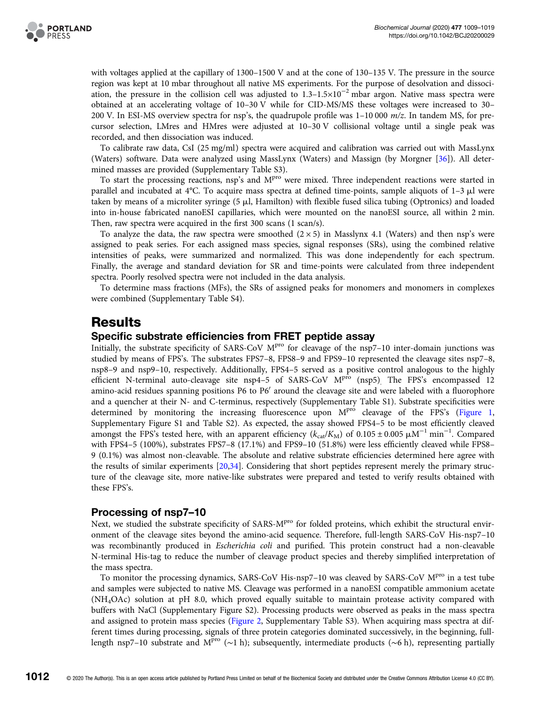

with voltages applied at the capillary of 1300–1500 V and at the cone of 130–135 V. The pressure in the source region was kept at 10 mbar throughout all native MS experiments. For the purpose of desolvation and dissociation, the pressure in the collision cell was adjusted to 1.3–1.5×10−<sup>2</sup> mbar argon. Native mass spectra were obtained at an accelerating voltage of 10–30 V while for CID-MS/MS these voltages were increased to 30– 200 V. In ESI-MS overview spectra for nsp's, the quadrupole profile was 1–10 000 m/z. In tandem MS, for precursor selection, LMres and HMres were adjusted at 10–30 V collisional voltage until a single peak was recorded, and then dissociation was induced.

To calibrate raw data, CsI (25 mg/ml) spectra were acquired and calibration was carried out with MassLynx (Waters) software. Data were analyzed using MassLynx (Waters) and Massign (by Morgner [\[36\]](#page-10-0)). All determined masses are provided (Supplementary Table S3).

To start the processing reactions, nsp's and  $M<sup>pro</sup>$  were mixed. Three independent reactions were started in parallel and incubated at  $4^{\circ}$ C. To acquire mass spectra at defined time-points, sample aliquots of 1-3  $\mu$ l were taken by means of a microliter syringe (5 µl, Hamilton) with flexible fused silica tubing (Optronics) and loaded into in-house fabricated nanoESI capillaries, which were mounted on the nanoESI source, all within 2 min. Then, raw spectra were acquired in the first 300 scans (1 scan/s).

To analyze the data, the raw spectra were smoothed  $(2 \times 5)$  in Masslynx 4.1 (Waters) and then nsp's were assigned to peak series. For each assigned mass species, signal responses (SRs), using the combined relative intensities of peaks, were summarized and normalized. This was done independently for each spectrum. Finally, the average and standard deviation for SR and time-points were calculated from three independent spectra. Poorly resolved spectra were not included in the data analysis.

To determine mass fractions (MFs), the SRs of assigned peaks for monomers and monomers in complexes were combined (Supplementary Table S4).

## Results

#### Specific substrate efficiencies from FRET peptide assay

Initially, the substrate specificity of SARS-CoV MPro for cleavage of the nsp7-10 inter-domain junctions was studied by means of FPS's. The substrates FPS7–8, FPS8–9 and FPS9–10 represented the cleavage sites nsp7–8, nsp8–9 and nsp9–10, respectively. Additionally, FPS4–5 served as a positive control analogous to the highly efficient N-terminal auto-cleavage site nsp4-5 of SARS-CoV MP<sup>ro</sup> (nsp5). The FPS's encompassed 12 amino-acid residues spanning positions P6 to P6' around the cleavage site and were labeled with a fluorophore and a quencher at their N- and C-terminus, respectively (Supplementary Table S1). Substrate specificities were determined by monitoring the increasing fluorescence upon  $M<sup>pro</sup>$  cleavage of the FPS's ([Figure 1,](#page-4-0) Supplementary Figure S1 and Table S2). As expected, the assay showed FPS4–5 to be most efficiently cleaved amongst the FPS's tested here, with an apparent efficiency ( $k_{cat}/K_M$ ) of 0.105 ± 0.005  $\mu$ M<sup>-1</sup> min<sup>-1</sup>. Compared with FPS4–5 (100%), substrates FPS7–8 (17.1%) and FPS9–10 (51.8%) were less efficiently cleaved while FPS8– 9 (0.1%) was almost non-cleavable. The absolute and relative substrate efficiencies determined here agree with the results of similar experiments [\[20,34](#page-10-0)]. Considering that short peptides represent merely the primary structure of the cleavage site, more native-like substrates were prepared and tested to verify results obtained with these FPS's.

#### Processing of nsp7–10

Next, we studied the substrate specificity of SARS-M<sup>pro</sup> for folded proteins, which exhibit the structural environment of the cleavage sites beyond the amino-acid sequence. Therefore, full-length SARS-CoV His-nsp7–10 was recombinantly produced in *Escherichia coli* and purified. This protein construct had a non-cleavable N-terminal His-tag to reduce the number of cleavage product species and thereby simplified interpretation of the mass spectra.

To monitor the processing dynamics, SARS-CoV His-nsp7-10 was cleaved by SARS-CoV MPTO in a test tube and samples were subjected to native MS. Cleavage was performed in a nanoESI compatible ammonium acetate (NH4OAc) solution at pH 8.0, which proved equally suitable to maintain protease activity compared with buffers with NaCl (Supplementary Figure S2). Processing products were observed as peaks in the mass spectra and assigned to protein mass species [\(Figure 2,](#page-4-0) Supplementary Table S3). When acquiring mass spectra at different times during processing, signals of three protein categories dominated successively, in the beginning, fulllength nsp7–10 substrate and M<sup>pro</sup> (∼1 h); subsequently, intermediate products (∼6 h), representing partially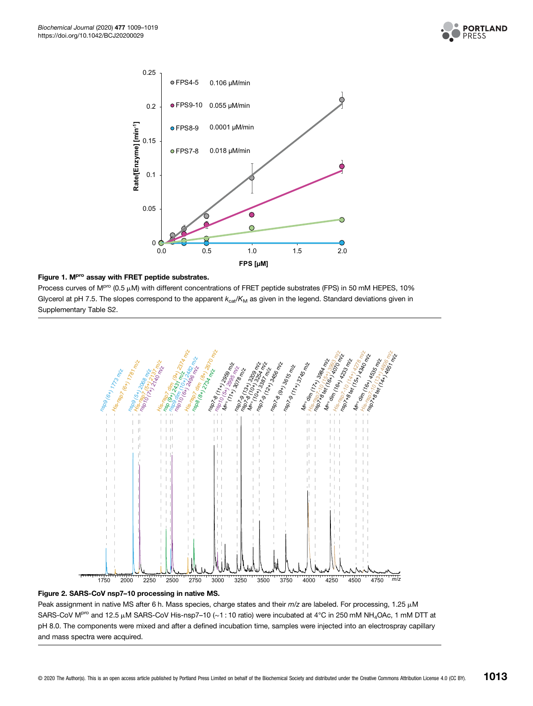

<span id="page-4-0"></span>

#### Figure 1. M<sup>pro</sup> assay with FRET peptide substrates.

Process curves of M<sup>pro</sup> (0.5  $\mu$ M) with different concentrations of FRET peptide substrates (FPS) in 50 mM HEPES, 10% Glycerol at pH 7.5. The slopes correspond to the apparent  $k_{\text{cat}}/K_M$  as given in the legend. Standard deviations given in Supplementary Table S2.



#### Figure 2. SARS-CoV nsp7–10 processing in native MS.

Peak assignment in native MS after 6 h. Mass species, charge states and their  $m/z$  are labeled. For processing, 1.25  $\mu$ M SARS-CoV M<sup>pro</sup> and 12.5 μM SARS-CoV His-nsp7–10 (~1 : 10 ratio) were incubated at 4°C in 250 mM NH<sub>4</sub>OAc, 1 mM DTT at pH 8.0. The components were mixed and after a defined incubation time, samples were injected into an electrospray capillary and mass spectra were acquired.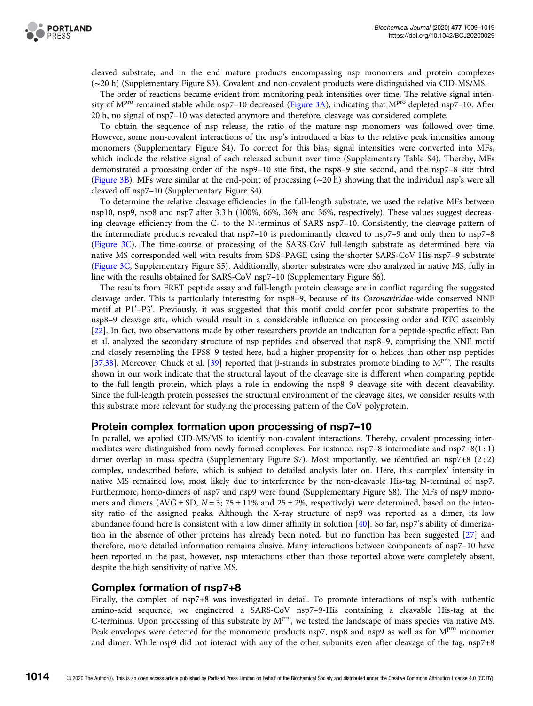

cleaved substrate; and in the end mature products encompassing nsp monomers and protein complexes (∼20 h) (Supplementary Figure S3). Covalent and non-covalent products were distinguished via CID-MS/MS.

The order of reactions became evident from monitoring peak intensities over time. The relative signal inten-sity of M<sup>pro</sup> remained stable while nsp7-10 decreased [\(Figure 3A](#page-6-0)), indicating that M<sup>pro</sup> depleted nsp7-10. After 20 h, no signal of nsp7–10 was detected anymore and therefore, cleavage was considered complete.

To obtain the sequence of nsp release, the ratio of the mature nsp monomers was followed over time. However, some non-covalent interactions of the nsp's introduced a bias to the relative peak intensities among monomers (Supplementary Figure S4). To correct for this bias, signal intensities were converted into MFs, which include the relative signal of each released subunit over time (Supplementary Table S4). Thereby, MFs demonstrated a processing order of the nsp9–10 site first, the nsp8–9 site second, and the nsp7–8 site third ([Figure 3B](#page-6-0)). MFs were similar at the end-point of processing (∼20 h) showing that the individual nsp's were all cleaved off nsp7–10 (Supplementary Figure S4).

To determine the relative cleavage efficiencies in the full-length substrate, we used the relative MFs between nsp10, nsp9, nsp8 and nsp7 after 3.3 h (100%, 66%, 36% and 36%, respectively). These values suggest decreasing cleavage efficiency from the C- to the N-terminus of SARS nsp7–10. Consistently, the cleavage pattern of the intermediate products revealed that nsp7–10 is predominantly cleaved to nsp7–9 and only then to nsp7–8 ([Figure 3C\)](#page-6-0). The time-course of processing of the SARS-CoV full-length substrate as determined here via native MS corresponded well with results from SDS–PAGE using the shorter SARS-CoV His-nsp7–9 substrate ([Figure 3C](#page-6-0), Supplementary Figure S5). Additionally, shorter substrates were also analyzed in native MS, fully in line with the results obtained for SARS-CoV nsp7–10 (Supplementary Figure S6).

The results from FRET peptide assay and full-length protein cleavage are in conflict regarding the suggested cleavage order. This is particularly interesting for nsp8–9, because of its Coronaviridae-wide conserved NNE motif at P1'-P3'. Previously, it was suggested that this motif could confer poor substrate properties to the nsp8–9 cleavage site, which would result in a considerable influence on processing order and RTC assembly [[22](#page-10-0)]. In fact, two observations made by other researchers provide an indication for a peptide-specific effect: Fan et al. analyzed the secondary structure of nsp peptides and observed that nsp8–9, comprising the NNE motif and closely resembling the FPS8–9 tested here, had a higher propensity for  $\alpha$ -helices than other nsp peptides [[37,38\]](#page-10-0). Moreover, Chuck et al. [\[39\]](#page-10-0) reported that β-strands in substrates promote binding to  $M<sup>pro</sup>$ . The results shown in our work indicate that the structural layout of the cleavage site is different when comparing peptide to the full-length protein, which plays a role in endowing the nsp8–9 cleavage site with decent cleavability. Since the full-length protein possesses the structural environment of the cleavage sites, we consider results with this substrate more relevant for studying the processing pattern of the CoV polyprotein.

#### Protein complex formation upon processing of nsp7–10

In parallel, we applied CID-MS/MS to identify non-covalent interactions. Thereby, covalent processing intermediates were distinguished from newly formed complexes. For instance, nsp7–8 intermediate and nsp7+8(1 : 1) dimer overlap in mass spectra (Supplementary Figure S7). Most importantly, we identified an nsp7+8 (2 : 2) complex, undescribed before, which is subject to detailed analysis later on. Here, this complex' intensity in native MS remained low, most likely due to interference by the non-cleavable His-tag N-terminal of nsp7. Furthermore, homo-dimers of nsp7 and nsp9 were found (Supplementary Figure S8). The MFs of nsp9 monomers and dimers (AVG  $\pm$  SD, N = 3; 75  $\pm$  11% and 25  $\pm$  2%, respectively) were determined, based on the intensity ratio of the assigned peaks. Although the X-ray structure of nsp9 was reported as a dimer, its low abundance found here is consistent with a low dimer affinity in solution [[40](#page-10-0)]. So far, nsp7's ability of dimerization in the absence of other proteins has already been noted, but no function has been suggested [\[27](#page-10-0)] and therefore, more detailed information remains elusive. Many interactions between components of nsp7–10 have been reported in the past, however, nsp interactions other than those reported above were completely absent, despite the high sensitivity of native MS.

#### Complex formation of nsp7+8

Finally, the complex of nsp7+8 was investigated in detail. To promote interactions of nsp's with authentic amino-acid sequence, we engineered a SARS-CoV nsp7–9-His containing a cleavable His-tag at the C-terminus. Upon processing of this substrate by  $M<sup>pro</sup>$ , we tested the landscape of mass species via native MS. Peak envelopes were detected for the monomeric products nsp7, nsp8 and nsp9 as well as for M<sup>pro</sup> monomer and dimer. While nsp9 did not interact with any of the other subunits even after cleavage of the tag, nsp7+8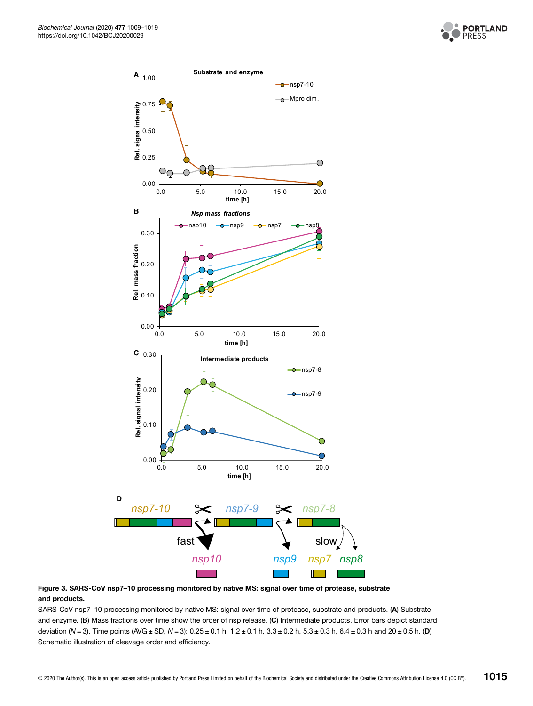

<span id="page-6-0"></span>

#### Figure 3. SARS-CoV nsp7–10 processing monitored by native MS: signal over time of protease, substrate and products.

SARS-CoV nsp7–10 processing monitored by native MS: signal over time of protease, substrate and products. (A) Substrate and enzyme. (B) Mass fractions over time show the order of nsp release. (C) Intermediate products. Error bars depict standard deviation (N = 3). Time points (AVG ± SD, N = 3):  $0.25 \pm 0.1$  h,  $1.2 \pm 0.1$  h,  $3.3 \pm 0.2$  h,  $5.3 \pm 0.3$  h,  $6.4 \pm 0.3$  h and  $20 \pm 0.5$  h. (D) Schematic illustration of cleavage order and efficiency.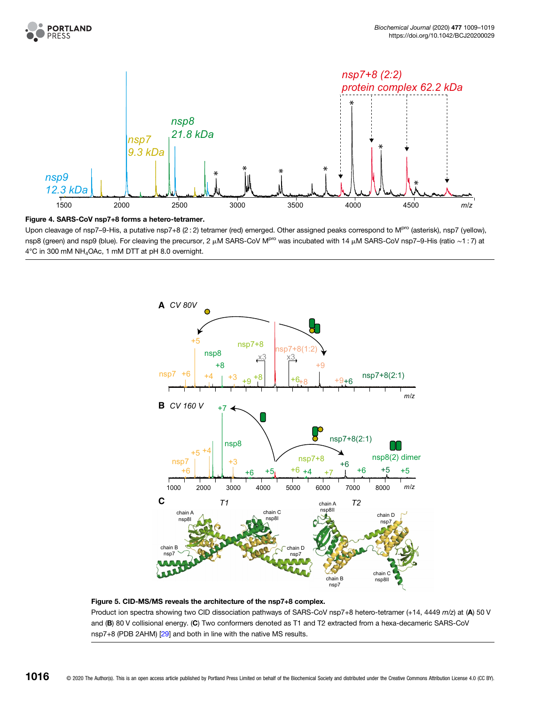<span id="page-7-0"></span>



Figure 4. SARS-CoV nsp7+8 forms a hetero-tetramer.

Upon cleavage of nsp7-9-His, a putative nsp7+8 (2 : 2) tetramer (red) emerged. Other assigned peaks correspond to M<sup>pro</sup> (asterisk), nsp7 (yellow), nsp8 (green) and nsp9 (blue). For cleaving the precursor, 2 μM SARS-CoV M<sup>pro</sup> was incubated with 14 μM SARS-CoV nsp7–9-His (ratio ~1 : 7) at 4°C in 300 mM NH4OAc, 1 mM DTT at pH 8.0 overnight.



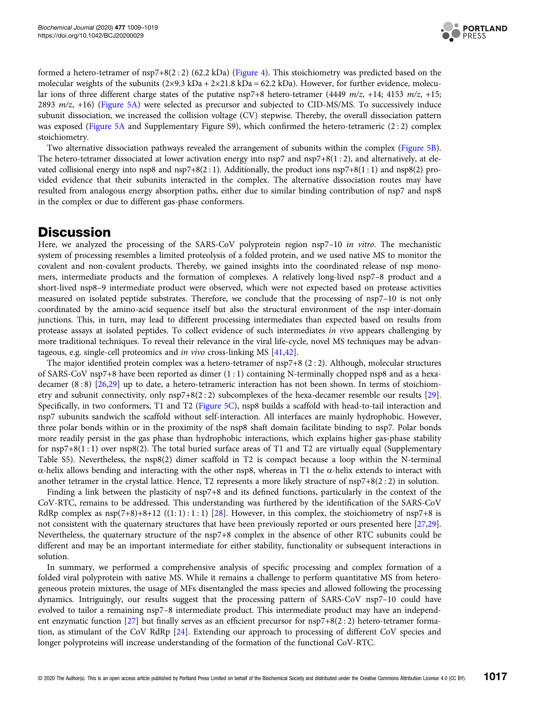

formed a hetero-tetramer of nsp7+8(2 : 2) (62.2 kDa) [\(Figure 4](#page-7-0)). This stoichiometry was predicted based on the molecular weights of the subunits  $(2\times9.3 \text{ kDa} + 2\times21.8 \text{ kDa} = 62.2 \text{ kDa})$ . However, for further evidence, molecular ions of three different charge states of the putative nsp7+8 hetero-tetramer (4449  $m/z$ , +14; 4153  $m/z$ , +15; 2893 m/z, +16) ([Figure 5A\)](#page-7-0) were selected as precursor and subjected to CID-MS/MS. To successively induce subunit dissociation, we increased the collision voltage (CV) stepwise. Thereby, the overall dissociation pattern was exposed [\(Figure 5A](#page-7-0) and Supplementary Figure S9), which confirmed the hetero-tetrameric  $(2:2)$  complex stoichiometry.

Two alternative dissociation pathways revealed the arrangement of subunits within the complex [\(Figure 5B\)](#page-7-0). The hetero-tetramer dissociated at lower activation energy into nsp7 and nsp7+8(1 : 2), and alternatively, at elevated collisional energy into nsp8 and nsp7+8(2 : 1). Additionally, the product ions  $nsp7+8(1:1)$  and  $nsp8(2)$  provided evidence that their subunits interacted in the complex. The alternative dissociation routes may have resulted from analogous energy absorption paths, either due to similar binding contribution of nsp7 and nsp8 in the complex or due to different gas-phase conformers.

### **Discussion**

Here, we analyzed the processing of the SARS-CoV polyprotein region nsp7-10 in vitro. The mechanistic system of processing resembles a limited proteolysis of a folded protein, and we used native MS to monitor the covalent and non-covalent products. Thereby, we gained insights into the coordinated release of nsp monomers, intermediate products and the formation of complexes. A relatively long-lived nsp7–8 product and a short-lived nsp8–9 intermediate product were observed, which were not expected based on protease activities measured on isolated peptide substrates. Therefore, we conclude that the processing of nsp7–10 is not only coordinated by the amino-acid sequence itself but also the structural environment of the nsp inter-domain junctions. This, in turn, may lead to different processing intermediates than expected based on results from protease assays at isolated peptides. To collect evidence of such intermediates in vivo appears challenging by more traditional techniques. To reveal their relevance in the viral life-cycle, novel MS techniques may be advantageous, e.g. single-cell proteomics and in vivo cross-linking MS [[41,42\]](#page-10-0).

The major identified protein complex was a hetero-tetramer of nsp7+8 (2 : 2). Although, molecular structures of SARS-CoV nsp7+8 have been reported as dimer (1 : 1) containing N-terminally chopped nsp8 and as a hexadecamer (8 : 8) [\[26,29\]](#page-10-0) up to date, a hetero-tetrameric interaction has not been shown. In terms of stoichiometry and subunit connectivity, only nsp7+8(2 : 2) subcomplexes of the hexa-decamer resemble our results [\[29\]](#page-10-0). Specifically, in two conformers, T1 and T2 ([Figure 5C\)](#page-7-0), nsp8 builds a scaffold with head-to-tail interaction and nsp7 subunits sandwich the scaffold without self-interaction. All interfaces are mainly hydrophobic. However, three polar bonds within or in the proximity of the nsp8 shaft domain facilitate binding to nsp7. Polar bonds more readily persist in the gas phase than hydrophobic interactions, which explains higher gas-phase stability for nsp7+8(1 : 1) over nsp8(2). The total buried surface areas of T1 and T2 are virtually equal (Supplementary Table S5). Nevertheless, the nsp8(2) dimer scaffold in T2 is compact because a loop within the N-terminal α-helix allows bending and interacting with the other nsp8, whereas in T1 the α-helix extends to interact with another tetramer in the crystal lattice. Hence, T2 represents a more likely structure of nsp7+8(2 : 2) in solution.

Finding a link between the plasticity of nsp7+8 and its defined functions, particularly in the context of the CoV-RTC, remains to be addressed. This understanding was furthered by the identification of the SARS-CoV RdRp complex as  $nsp(7+8)+8+12$  ((1:1):1:1) [[28](#page-10-0)]. However, in this complex, the stoichiometry of  $nsp7+8$  is not consistent with the quaternary structures that have been previously reported or ours presented here [\[27,29\]](#page-10-0). Nevertheless, the quaternary structure of the nsp7+8 complex in the absence of other RTC subunits could be different and may be an important intermediate for either stability, functionality or subsequent interactions in solution.

In summary, we performed a comprehensive analysis of specific processing and complex formation of a folded viral polyprotein with native MS. While it remains a challenge to perform quantitative MS from heterogeneous protein mixtures, the usage of MFs disentangled the mass species and allowed following the processing dynamics. Intriguingly, our results suggest that the processing pattern of SARS-CoV nsp7–10 could have evolved to tailor a remaining nsp7–8 intermediate product. This intermediate product may have an independent enzymatic function [\[27\]](#page-10-0) but finally serves as an efficient precursor for nsp7+8(2 : 2) hetero-tetramer formation, as stimulant of the CoV RdRp [\[24\]](#page-10-0). Extending our approach to processing of different CoV species and longer polyproteins will increase understanding of the formation of the functional CoV-RTC.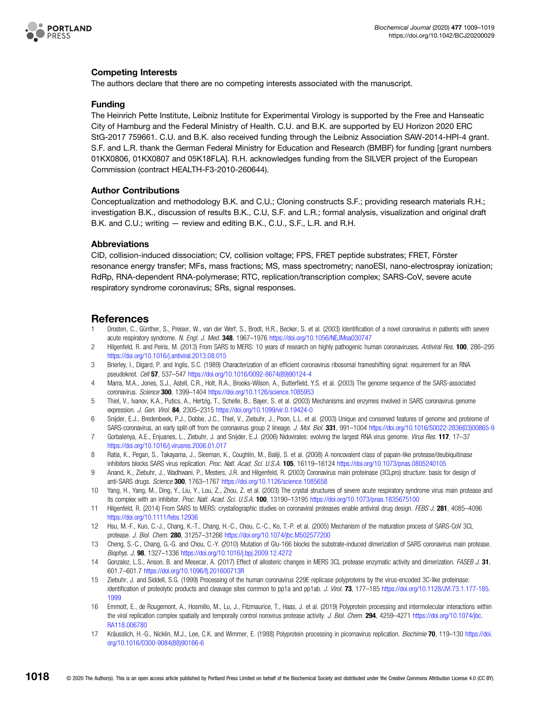<span id="page-9-0"></span>

#### Competing Interests

The authors declare that there are no competing interests associated with the manuscript.

#### Funding

The Heinrich Pette Institute, Leibniz Institute for Experimental Virology is supported by the Free and Hanseatic City of Hamburg and the Federal Ministry of Health. C.U. and B.K. are supported by EU Horizon 2020 ERC StG-2017 759661. C.U. and B.K. also received funding through the Leibniz Association SAW-2014-HPI-4 grant. S.F. and L.R. thank the German Federal Ministry for Education and Research (BMBF) for funding [grant numbers 01KX0806, 01KX0807 and 05K18FLA]. R.H. acknowledges funding from the SILVER project of the European Commission (contract HEALTH-F3-2010-260644).

#### Author Contributions

Conceptualization and methodology B.K. and C.U.; Cloning constructs S.F.; providing research materials R.H.; investigation B.K., discussion of results B.K., C.U, S.F. and L.R.; formal analysis, visualization and original draft B.K. and C.U.; writing — review and editing B.K., C.U., S.F., L.R. and R.H.

#### Abbreviations

CID, collision-induced dissociation; CV, collision voltage; FPS, FRET peptide substrates; FRET, Förster resonance energy transfer; MFs, mass fractions; MS, mass spectrometry; nanoESI, nano-electrospray ionization; RdRp, RNA-dependent RNA-polymerase; RTC, replication/transcription complex; SARS-CoV, severe acute respiratory syndrome coronavirus; SRs, signal responses.

#### References

- 1 Drosten, C., Günther, S., Preiser, W., van der Werf, S., Brodt, H.R., Becker, S. et al. (2003) Identification of a novel coronavirus in patients with severe acute respiratory syndrome. N. Engl. J. Med. 348, 1967–1976 <https://doi.org/10.1056/NEJMoa030747>
- 2 Hilgenfeld, R. and Peiris, M. (2013) From SARS to MERS: 10 years of research on highly pathogenic human coronaviruses. Antiviral Res. 100, 286–295 <https://doi.org/10.1016/j.antiviral.2013.08.015>
- 3 Brierley, I., Digard, P. and Inglis, S.C. (1989) Characterization of an efficient coronavirus ribosomal frameshifting signal: requirement for an RNA pseudoknot. Cell 57, 537–547 [https://doi.org/10.1016/0092-8674\(89\)90124-4](https://doi.org/10.1016/0092-8674(89)90124-4)
- 4 Marra, M.A., Jones, S.J., Astell, C.R., Holt, R.A., Brooks-Wilson, A., Butterfield, Y.S. et al. (2003) The genome sequence of the SARS-associated coronavirus. Science 300, 1399–1404 <https://doi.org/10.1126/science.1085953>
- 5 Thiel, V., Ivanov, K.A., Putics, A., Hertzig, T., Schelle, B., Bayer, S. et al. (2003) Mechanisms and enzymes involved in SARS coronavirus genome expression. *J. Gen. Virol.* 84, 2305–2315 <https://doi.org/10.1099/vir.0.19424-0>
- 6 Snijder, E.J., Bredenbeek, P.J., Dobbe, J.C., Thiel, V., Ziebuhr, J., Poon, L.L. et al. (2003) Unique and conserved features of genome and proteome of SARS-coronavirus, an early split-off from the coronavirus group 2 lineage. J. Mol. Biol. 331, 991-1004 [https://doi.org/10.1016/S0022-2836\(03\)00865-9](https://doi.org/10.1016/S0022-2836(03)00865-9)
- 7 Gorbalenya, A.E., Enjuanes, L., Ziebuhr, J. and Snijder, E.J. (2006) Nidovirales: evolving the largest RNA virus genome. Virus Res. 117, 17-37 <https://doi.org/10.1016/j.virusres.2006.01.017>
- 8 Ratia, K., Pegan, S., Takayama, J., Sleeman, K., Coughlin, M., Baliji, S. et al. (2008) A noncovalent class of papain-like protease/deubiquitinase inhibitors blocks SARS virus replication. Proc. Natl. Acad. Sci. U.S.A. 105, 16119-16124 <https://doi.org/10.1073/pnas.0805240105>
- 9 Anand, K., Ziebuhr, J., Wadhwani, P., Mesters, J.R. and Hilgenfeld, R. (2003) Coronavirus main proteinase (3CLpro) structure: basis for design of anti-SARS drugs. Science 300, 1763-1767 <https://doi.org/10.1126/science.1085658>
- 10 Yang, H., Yang, M., Ding, Y., Liu, Y., Lou, Z., Zhou, Z. et al. (2003) The crystal structures of severe acute respiratory syndrome virus main protease and its complex with an inhibitor. Proc. Natl. Acad. Sci. U.S.A. 100, 13190-13195 <https://doi.org/10.1073/pnas.1835675100>
- 11 Hilgenfeld, R. (2014) From SARS to MERS: crystallographic studies on coronaviral proteases enable antiviral drug design. FEBS J. 281, 4085–4096 <https://doi.org/10.1111/febs.12936>
- 12 Hsu, M.-F., Kuo, C.-J., Chang, K.-T., Chang, H.-C., Chou, C.-C., Ko, T.-P. et al. (2005) Mechanism of the maturation process of SARS-CoV 3CL protease. J. Biol. Chem. 280, 31257–31266 <https://doi.org/10.1074/jbc.M502577200>
- 13 Cheng, S.-C., Chang, G.-G. and Chou, C.-Y. (2010) Mutation of Glu-166 blocks the substrate-induced dimerization of SARS coronavirus main protease. Biophys. J. 98, 1327–1336 <https://doi.org/10.1016/j.bpj.2009.12.4272>
- 14 Gonzalez, L.S., Anson, B. and Mesecar, A. (2017) Effect of allosteric changes in MERS 3CL protease enzymatic activity and dimerization. FASEB J. 31, 601.7–601.7 <https://doi.org/10.1096/fj.201600713R>
- 15 Ziebuhr, J. and Siddell, S.G. (1999) Processing of the human coronavirus 229E replicase polyproteins by the virus-encoded 3C-like proteinase: identification of proteolytic products and cleavage sites common to pp1a and pp1ab. J. Virol. 73, 177-185 [https://doi.org/10.1128/JVI.73.1.177-185.](https://doi.org/10.1128/JVI.73.1.177-185.1999) [1999](https://doi.org/10.1128/JVI.73.1.177-185.1999)
- 16 Emmott, E., de Rougemont, A., Hosmillo, M., Lu, J., Fitzmaurice, T., Haas, J. et al. (2019) Polyprotein processing and intermolecular interactions within the viral replication complex spatially and temporally control norovirus protease activity. J. Biol. Chem. 294, 4259-4271 [https://doi.org/10.1074/jbc.](https://doi.org/10.1074/jbc.RA118.006780) [RA118.006780](https://doi.org/10.1074/jbc.RA118.006780)
- 17 Kräusslich, H.-G., Nicklin, M.J., Lee, C.K. and Wimmer, E. (1988) Polyprotein processing in picornavirus replication. Biochimie 70, 119–130 [https://doi.](https://doi.org/10.1016/0300-9084(88)90166-6) [org/10.1016/0300-9084\(88\)90166-6](https://doi.org/10.1016/0300-9084(88)90166-6)